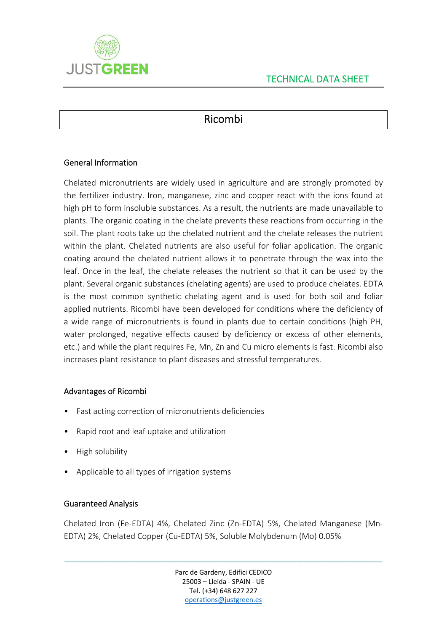

# Ricombi

## General Information

Chelated micronutrients are widely used in agriculture and are strongly promoted by the fertilizer industry. Iron, manganese, zinc and copper react with the ions found at high pH to form insoluble substances. As a result, the nutrients are made unavailable to plants. The organic coating in the chelate prevents these reactions from occurring in the soil. The plant roots take up the chelated nutrient and the chelate releases the nutrient within the plant. Chelated nutrients are also useful for foliar application. The organic coating around the chelated nutrient allows it to penetrate through the wax into the leaf. Once in the leaf, the chelate releases the nutrient so that it can be used by the plant. Several organic substances (chelating agents) are used to produce chelates. EDTA is the most common synthetic chelating agent and is used for both soil and foliar applied nutrients. Ricombi have been developed for conditions where the deficiency of a wide range of micronutrients is found in plants due to certain conditions (high PH, water prolonged, negative effects caused by deficiency or excess of other elements, etc.) and while the plant requires Fe, Mn, Zn and Cu micro elements is fast. Ricombi also increases plant resistance to plant diseases and stressful temperatures.

#### Advantages of Ricombi

- Fast acting correction of micronutrients deficiencies
- Rapid root and leaf uptake and utilization
- High solubility
- Applicable to all types of irrigation systems

#### Guaranteed Analysis

Chelated Iron (Fe‐EDTA) 4%, Chelated Zinc (Zn‐EDTA) 5%, Chelated Manganese (Mn‐ EDTA) 2%, Chelated Copper (Cu‐EDTA) 5%, Soluble Molybdenum (Mo) 0.05%

> Parc de Gardeny, Edifici CEDICO 25003 – Lleida ‐ SPAIN ‐ UE Tel. (+34) 648 627 227 operations@justgreen.es

\_\_\_\_\_\_\_\_\_\_\_\_\_\_\_\_\_\_\_\_\_\_\_\_\_\_\_\_\_\_\_\_\_\_\_\_\_\_\_\_\_\_\_\_\_\_\_\_\_\_\_\_\_\_\_\_\_\_\_\_\_\_\_\_\_\_\_\_\_\_\_\_\_\_\_\_\_\_\_\_\_\_\_\_\_